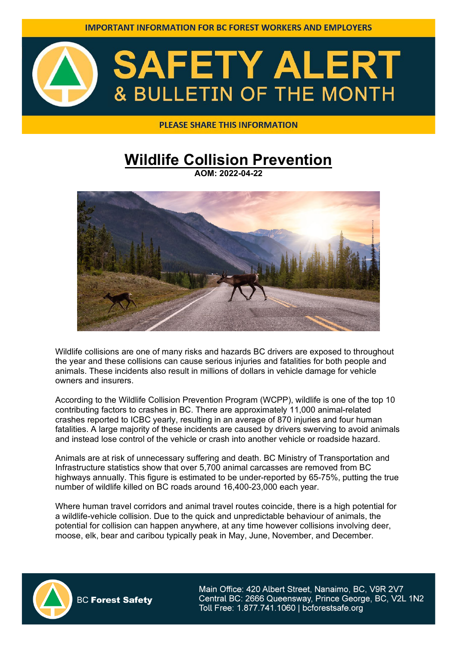

#### **PLEASE SHARE THIS INFORMATION**

### **Wildlife Collision Prevention**

**AOM: 2022-04-22**



Wildlife collisions are one of many risks and hazards BC drivers are exposed to throughout the year and these collisions can cause serious injuries and fatalities for both people and animals. These incidents also result in millions of dollars in vehicle damage for vehicle owners and insurers.

According to the Wildlife Collision Prevention Program (WCPP), wildlife is one of the top 10 contributing factors to crashes in BC. There are approximately 11,000 animal-related crashes reported to ICBC yearly, resulting in an average of 870 injuries and four human fatalities. A large majority of these incidents are caused by drivers swerving to avoid animals and instead lose control of the vehicle or crash into another vehicle or roadside hazard.

Animals are at risk of unnecessary suffering and death. BC Ministry of Transportation and Infrastructure statistics show that over 5,700 animal carcasses are removed from BC highways annually. This figure is estimated to be under-reported by 65-75%, putting the true number of wildlife killed on BC roads around 16,400-23,000 each year.

Where human travel corridors and animal travel routes coincide, there is a high potential for a wildlife-vehicle collision. Due to the quick and unpredictable behaviour of animals, the potential for collision can happen anywhere, at any time however collisions involving deer, moose, elk, bear and caribou typically peak in May, June, November, and December.



**BC Forest Safety**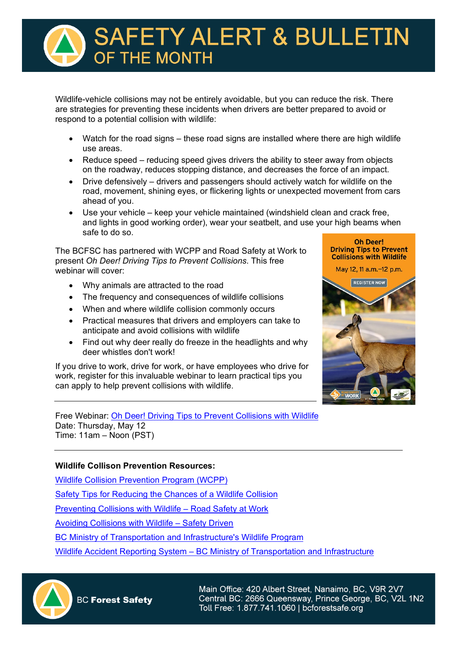# **SAFETY ALERT & BULLETIN PE THE MONTH**

Wildlife-vehicle collisions may not be entirely avoidable, but you can reduce the risk. There are strategies for preventing these incidents when drivers are better prepared to avoid or respond to a potential collision with wildlife:

- Watch for the road signs these road signs are installed where there are high wildlife use areas.
- Reduce speed reducing speed gives drivers the ability to steer away from objects on the roadway, reduces stopping distance, and decreases the force of an impact.
- Drive defensively drivers and passengers should actively watch for wildlife on the road, movement, shining eyes, or flickering lights or unexpected movement from cars ahead of you.
- Use your vehicle keep your vehicle maintained (windshield clean and crack free, and lights in good working order), wear your seatbelt, and use your high beams when safe to do so.

The BCFSC has partnered with WCPP and Road Safety at Work to present *Oh Deer! Driving Tips to Prevent Collisions*. This free webinar will cover:

- Why animals are attracted to the road
- The frequency and consequences of wildlife collisions
- When and where wildlife collision commonly occurs
- Practical measures that drivers and employers can take to anticipate and avoid collisions with wildlife
- Find out why deer really do freeze in the headlights and why deer whistles don't work!

If you drive to work, drive for work, or have employees who drive for work, register for this invaluable webinar to learn practical tips you can apply to help prevent collisions with wildlife.

Free Webinar: [Oh Deer! Driving Tips to Prevent Collisions with Wildlife](https://roadsafetyatwork.ca/events/oh_deer_driving_tips_to_prevent_collisions_with_wildlife/) Date: Thursday, May 12 Time: 11am – Noon (PST)

#### **Wildlife Collison Prevention Resources:**

[Wildlife Collision Prevention Program \(WCPP\)](https://www.wildlifecollisions.ca/) 

[Safety Tips for Reducing the Chances of a Wildlife Collision](https://www.wildlifecollisions.ca/prevention/safety-tips.htm)

[Preventing Collisions with Wildlife – Road Safety at Work](https://roadsafetyatwork.ca/events/webinar-preventing-collisions-with-wildlife-2/) 

[Avoiding Collisions with Wildlife – Safety Driven](https://safetydriven.ca/resource/avoid-collisions-with-wildlife/) 

[BC Ministry of Transportation and Infrastructure's Wildlife Program](https://www2.gov.bc.ca/gov/content/transportation/transportation-infrastructure/engineering-standards-guidelines/environmental-management/wildlife-management/wildlife-accident-reporting-system)

[Wildlife Accident Reporting System – BC Ministry of Transportation and Infrastructure](https://www2.gov.bc.ca/gov/content/transportation/transportation-infrastructure/engineering-standards-guidelines/environmental-management/wildlife-management/wildlife-accident-reporting-system)



**BC Forest Safety** 

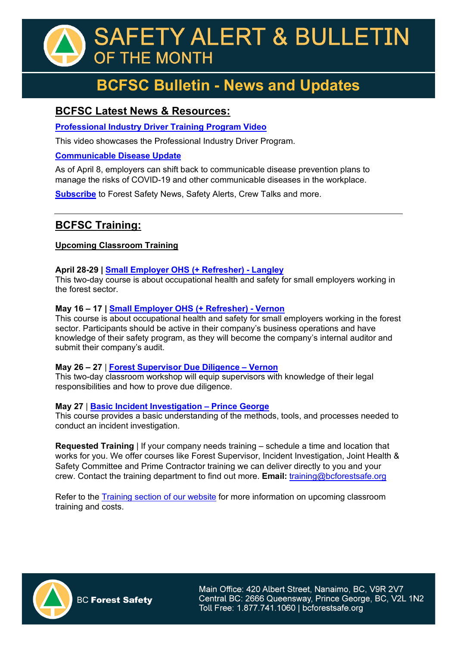## **SAFETY ALERT & BULLETIN** OF THE MONTH

## **BCFSC Bulletin - News and Updates**

#### **BCFSC Latest News & Resources:**

**[Professional Industry Driver Training Program Video](https://youtu.be/oARE85a5ir4)**

This video showcases the Professional Industry Driver Program.

#### **[Communicable Disease Update](https://www.bcforestsafe.org/communicable-disease-prevention/)**

As of April 8, employers can shift back to communicable disease prevention plans to manage the risks of COVID-19 and other communicable diseases in the workplace.

**[Subscribe](https://www.bcforestsafe.org/subscribe/)** to Forest Safety News, Safety Alerts, Crew Talks and more.

#### **BCFSC Training:**

#### **Upcoming Classroom Training**

#### **April 28-29 | [Small Employer OHS \(+ Refresher\) - Langley](https://www.bcforestsafe.org/events/small-employer-ohs-langley/)**

This two-day course is about occupational health and safety for small employers working in the forest sector.

#### **May 16 – 17 | [Small Employer OHS \(+ Refresher\) - Vernon](https://www.bcforestsafe.org/small-employer-ohs-training/)**

This course is about occupational health and safety for small employers working in the forest sector. Participants should be active in their company's business operations and have knowledge of their safety program, as they will become the company's internal auditor and submit their company's audit.

#### **May 26 – 27** | **[Forest Supervisor Due Diligence – Vernon](https://www.bcforestsafe.org/forest-supervisor-training/)**

This two-day classroom workshop will equip supervisors with knowledge of their legal responsibilities and how to prove due diligence.

#### **May 27** | **[Basic Incident Investigation – Prince George](https://www.bcforestsafe.org/basic-incident-investigation-training/)**

This course provides a basic understanding of the methods, tools, and processes needed to conduct an incident investigation.

**Requested Training** | If your company needs training – schedule a time and location that works for you. We offer courses like Forest Supervisor, Incident Investigation, Joint Health & Safety Committee and Prime Contractor training we can deliver directly to you and your crew. Contact the training department to find out more. **Email:** [training@bcforestsafe.org](mailto:training@bcforestsafe.org)

Refer to the **Training section of our website** for more information on upcoming classroom training and costs.